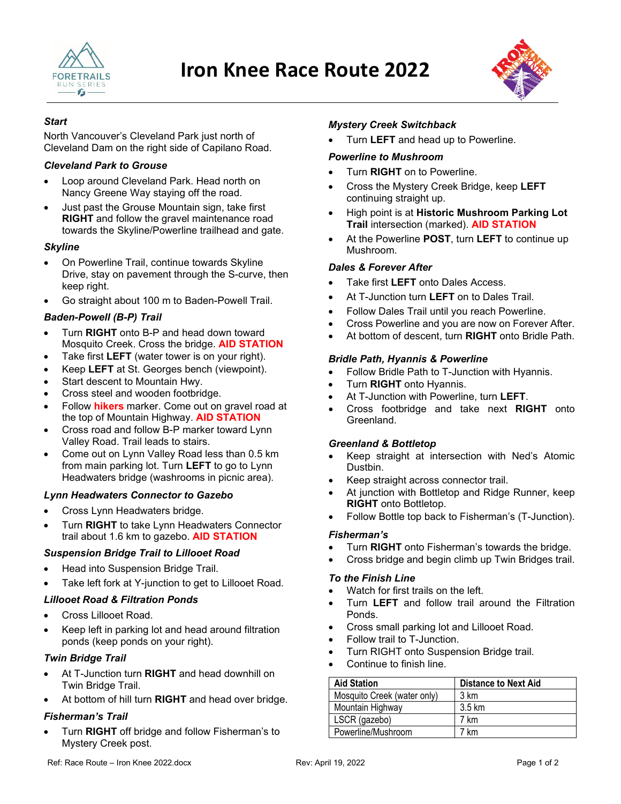



### *Start*

North Vancouver's Cleveland Park just north of Cleveland Dam on the right side of Capilano Road.

### *Cleveland Park to Grouse*

- Loop around Cleveland Park. Head north on Nancy Greene Way staying off the road.
- Just past the Grouse Mountain sign, take first **RIGHT** and follow the gravel maintenance road towards the Skyline/Powerline trailhead and gate.

### *Skyline*

- On Powerline Trail, continue towards Skyline Drive, stay on pavement through the S-curve, then keep right.
- Go straight about 100 m to Baden-Powell Trail.

### *Baden-Powell (B-P) Trail*

- Turn **RIGHT** onto B-P and head down toward Mosquito Creek. Cross the bridge. **AID STATION**
- Take first **LEFT** (water tower is on your right).
- Keep **LEFT** at St. Georges bench (viewpoint).
- Start descent to Mountain Hwy.
- Cross steel and wooden footbridge.
- Follow **hikers** marker. Come out on gravel road at the top of Mountain Highway. **AID STATION**
- Cross road and follow B-P marker toward Lynn Valley Road. Trail leads to stairs.
- Come out on Lynn Valley Road less than 0.5 km from main parking lot. Turn **LEFT** to go to Lynn Headwaters bridge (washrooms in picnic area).

### *Lynn Headwaters Connector to Gazebo*

- Cross Lynn Headwaters bridge.
- Turn **RIGHT** to take Lynn Headwaters Connector trail about 1.6 km to gazebo. **AID STATION**

# *Suspension Bridge Trail to Lillooet Road*

- Head into Suspension Bridge Trail.
- Take left fork at Y-junction to get to Lillooet Road.

# *Lillooet Road & Filtration Ponds*

- Cross Lillooet Road.
- Keep left in parking lot and head around filtration ponds (keep ponds on your right).

### *Twin Bridge Trail*

- At T-Junction turn **RIGHT** and head downhill on Twin Bridge Trail.
- At bottom of hill turn **RIGHT** and head over bridge.

# *Fisherman's Trail*

• Turn **RIGHT** off bridge and follow Fisherman's to Mystery Creek post.

## *Mystery Creek Switchback*

• Turn **LEFT** and head up to Powerline.

### *Powerline to Mushroom*

- Turn **RIGHT** on to Powerline.
- Cross the Mystery Creek Bridge, keep **LEFT** continuing straight up.
- High point is at **Historic Mushroom Parking Lot Trail** intersection (marked). **AID STATION**
- At the Powerline **POST**, turn **LEFT** to continue up Mushroom.

# *Dales & Forever After*

- Take first **LEFT** onto Dales Access.
- At T-Junction turn **LEFT** on to Dales Trail.
- Follow Dales Trail until you reach Powerline.
- Cross Powerline and you are now on Forever After.
- At bottom of descent, turn **RIGHT** onto Bridle Path.

### *Bridle Path, Hyannis & Powerline*

- Follow Bridle Path to T-Junction with Hyannis.
- Turn **RIGHT** onto Hyannis.
- At T-Junction with Powerline, turn **LEFT**.
- Cross footbridge and take next **RIGHT** onto Greenland.

### *Greenland & Bottletop*

- Keep straight at intersection with Ned's Atomic Dustbin.
- Keep straight across connector trail.
- At junction with Bottletop and Ridge Runner, keep **RIGHT** onto Bottletop.
- Follow Bottle top back to Fisherman's (T-Junction).

### *Fisherman's*

- Turn **RIGHT** onto Fisherman's towards the bridge.
- Cross bridge and begin climb up Twin Bridges trail.

### *To the Finish Line*

- Watch for first trails on the left.
- Turn **LEFT** and follow trail around the Filtration Ponds.
- Cross small parking lot and Lillooet Road.
- Follow trail to T-Junction.
- Turn RIGHT onto Suspension Bridge trail.
- Continue to finish line.

| <b>Aid Station</b>          | <b>Distance to Next Aid</b> |
|-----------------------------|-----------------------------|
| Mosquito Creek (water only) | 3 km                        |
| Mountain Highway            | 3.5 km                      |
| LSCR (gazebo)               | 7 km                        |
| Powerline/Mushroom          | 7 km                        |